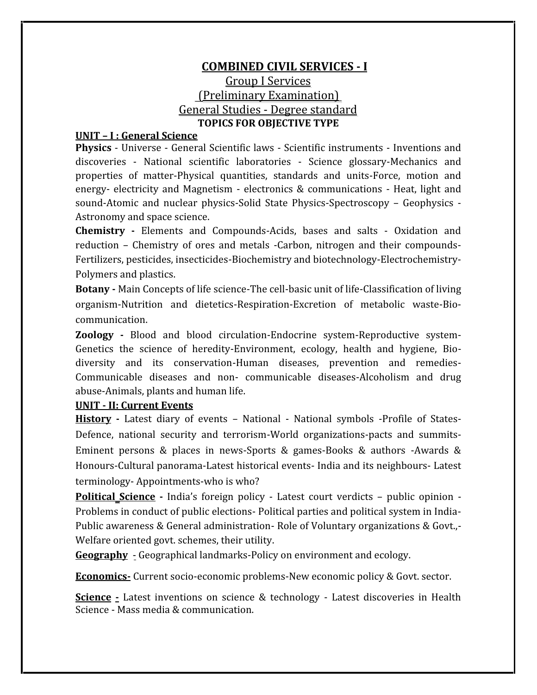# **COMBINED CIVIL SERVICES - I** Group I Services (Preliminary Examination) General Studies ‐ Degree standard **TOPICS FOR OBJECTIVE TYPE**

## **UNIT – I :General Science**

**Physics** ‐ Universe ‐ General Scientific laws ‐Scientific instruments ‐ Inventions and discoveries ‐ National scientific laboratories ‐ Science glossary‐Mechanics and properties of matter‐Physical quantities, standards and units‐Force, motion and energy‐ electricity and Magnetism ‐ electronics & communications ‐Heat, light and sound-Atomic and nuclear physics-Solid State Physics-Spectroscopy – Geophysics -<br>Astronomy and space science.

**Chemistry ‐** Elements and Compounds‐Acids, bases and salts ‐ Oxidation and reduction – Chemistry of ores and metals ‐Carbon, nitrogen and their compounds‐ Fertilizers, pesticides, insecticides‐Biochemistry and biotechnology‐Electrochemistry‐ Polymers and plastics.

**Botany ‐** Main Concepts of life science‐The cell‐basic unit of life‐Classification of living organism‐Nutrition and dietetics‐Respiration‐Excretion of metabolic waste‐Bio‐ communication.

**Zoology ‐** Blood and blood circulation‐Endocrine system‐Reproductive system‐ Genetics the science of heredity-Environment, ecology, health and hygiene, Biodiversity and its conservation‐Human diseases, prevention and remedies‐ Communicable diseases and non‐ communicable diseases‐Alcoholism and drug abuse‐Animals, plants and human life.

### **UNIT ‐ II: Current Events**

**History -** Latest diary of events – National ‐ National symbols ‐Profile of States‐ Defence, national security and terrorism‐World organizations‐pacts and summits‐ Eminent persons & places in news‐Sports & games‐Books & authors ‐Awards & Honours‐Cultural panorama‐Latest historical events‐ India and its neighbours‐ Latest terminology‐ Appointments‐who is who?

**Political Science -** India's foreign policy ‐ Latest court verdicts – public opinion ‐ Problems in conduct of public elections‐ Political parties and political system in India‐ Public awareness & General administration‐ Role of Voluntary organizations & Govt.,‐ Welfare oriented govt. schemes, their utility.

**Geography** - Geographical landmarks‐Policy on environment and ecology.

**Economics**– Current socio-economic problems-New economic policy & Govt. sector.

**Science** • Latest inventions on science & technology • Latest discoveries in Health Science ‐ Mass media & communication.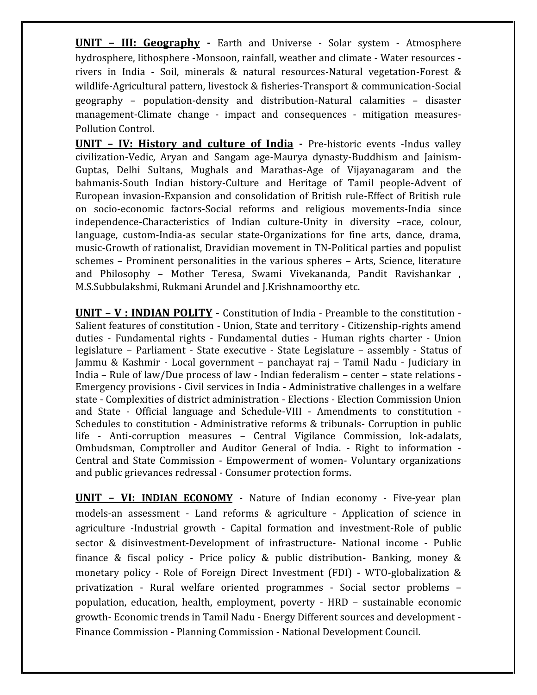**UNIT – III: Geography ‐** Earth and Universe ‐ Solar system ‐ Atmosphere hydrosphere, lithosphere ‐Monsoon, rainfall, weather and climate ‐ Water resources ‐ rivers in India ‐ Soil, minerals & natural resources‐Natural vegetation‐Forest & wildlife-Agricultural pattern, livestock & fisheries-Transport & communication-Social geography – population‐density and distribution‐Natural calamities – disaster management-Climate change - impact and consequences - mitigation measures-Pollution Control.

**UNIT –IV: History and culture of India -** Pre‐historic events ‐Indus valley civilization‐Vedic, Aryan and Sangam age‐Maurya dynasty‐Buddhism and Jainism‐ Guptas, Delhi Sultans, Mughals and Marathas‐Age of Vijayanagaram and the bahmanis‐South Indian history‐Culture and Heritage of Tamil people‐Advent of European invasion‐Expansion and consolidation of British rule‐Effect of British rule on socio‐economic factors‐Social reforms and religious movements‐India since independence‐Characteristics of Indian culture‐Unity in diversity –race, colour, language, custom‐India‐as secular state‐Organizations for fine arts, dance, drama, music‐Growth of rationalist, Dravidian movement in TN‐Political parties and populist schemes – Prominent personalities in the various spheres – Arts, Science, literature and Philosophy – Mother Teresa, Swami Vivekananda, Pandit Ravishankar , M.S.Subbulakshmi, Rukmani Arundel and J.Krishnamoorthy etc.

**UNIT – V : INDIAN POLITY ‐** Constitution of India ‐ Preamble to the constitution ‐ Salient features of constitution - Union, State and territory - Citizenship-rights amend duties ‐ Fundamental rights ‐Fundamental duties ‐ Human rights charter ‐ Union legislature – Parliament ‐ State executive ‐ State Legislature – assembly ‐ Status of Jammu & Kashmir ‐ Local government – panchayat raj – Tamil Nadu ‐ Judiciary in India – Rule of law/Due process of law ‐ Indian federalism – center – state relations ‐ Emergency provisions ‐ Civil services in India ‐ Administrative challenges in a welfare state ‐ Complexities of district administration ‐ Elections ‐ Election Commission Union and State ‐ Official language and Schedule‐VIII ‐ Amendments to constitution ‐ Schedules to constitution - Administrative reforms & tribunals - Corruption in public life - Anti-corruption measures – Central Vigilance Commission, lok-adalats, Ombudsman, Comptroller and Auditor General of India. ‐ Right to information ‐ Central and State Commission ‐ Empowerment of women‐ Voluntary organizations and public grievances redressal ‐ Consumer protection forms.

**UNIT – VI: INDIAN ECONOMY ‐** Nature of Indian economy ‐ Five‐year plan models‐an assessment ‐ Land reforms & agriculture ‐ Application of science in agriculture ‐Industrial growth ‐ Capital formation and investment‐Role of public sector & disinvestment-Development of infrastructure- National income - Public finance & fiscal policy ‐ Price policy & public distribution‐ Banking, money & monetary policy ‐ Role of Foreign Direct Investment (FDI) ‐ WTO‐globalization & privatization ‐ Rural welfare oriented programmes ‐ Social sector problems – population, education, health, employment, poverty ‐ HRD – sustainable economic growth‐ Economic trends in Tamil Nadu ‐ Energy Different sources and development ‐ Finance Commission ‐ Planning Commission ‐ National Development Council.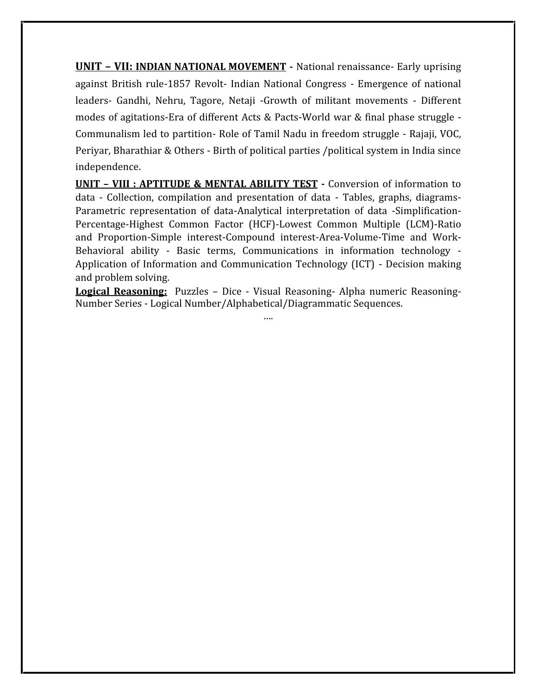**UNIT – VII: INDIAN NATIONAL MOVEMENT ‐** National renaissance‐ Early uprising against British rule‐1857 Revolt‐ Indian National Congress ‐Emergence of national leaders‐ Gandhi, Nehru, Tagore, Netaji ‐Growth of militant movements ‐ Different modes of agitations‐Era of different Acts & Pacts‐World war & final phase struggle ‐ Communalism led to partition‐ Role of Tamil Nadu in freedom struggle ‐ Rajaji, VOC, Periyar, Bharathiar & Others ‐ Birth of political parties /political system in India since independence.

**UNIT – VIII : APTITUDE & MENTAL ABILITY TEST ‐** Conversion of information to data ‐ Collection, compilation and presentation of data ‐ Tables, graphs, diagrams‐ Parametric representation of data‐Analytical interpretation of data ‐Simplification‐ Percentage‐Highest Common Factor (HCF)‐Lowest Common Multiple (LCM)‐Ratio and Proportion‐Simple interest‐Compound interest‐Area‐Volume‐Time and Work‐ Behavioral ability - Basic terms, Communications in information technology -Application of Information and Communication Technology (ICT) ‐ Decision making and problem solving.

**Logical Reasoning:** Puzzles – Dice ‐ Visual Reasoning‐ Alpha numeric Reasoning‐ Number Series ‐ Logical Number/Alphabetical/Diagrammatic Sequences.

….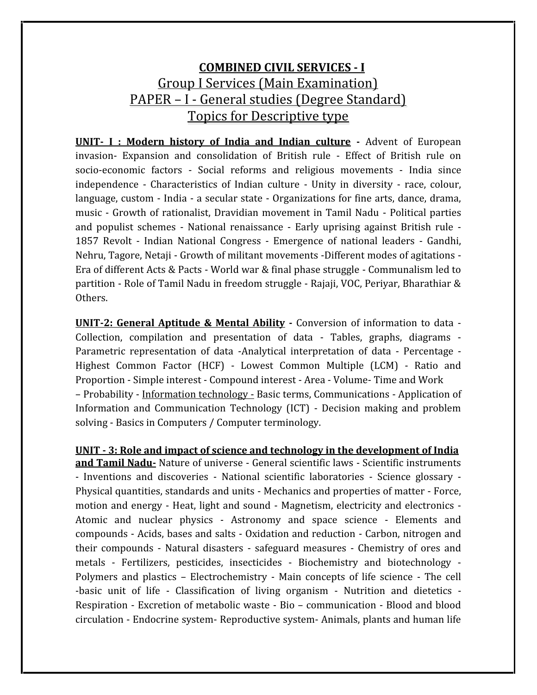# **COMBINED CIVIL SERVICES - I** Group I Services (Main Examination) PAPER – I ‐ General studies (Degree Standard) Topics for Descriptive type

**UNIT- I : Modern history of India and Indian culture ‐** Advent of European invasion‐ Expansion and consolidation of British rule ‐ Effect of British rule on socio-economic factors - Social reforms and religious movements - India since independence ‐ Characteristics of Indian culture ‐ Unity in diversity ‐ race, colour, language, custom ‐ India ‐ a secular state ‐ Organizations for fine arts, dance, drama, music ‐ Growth of rationalist, Dravidian movement in Tamil Nadu ‐ Political parties and populist schemes ‐ National renaissance ‐ Early uprising against British rule ‐ 1857 Revolt ‐ Indian National Congress ‐ Emergence of national leaders ‐Gandhi, Nehru, Tagore, Netaji ‐ Growth of militant movements ‐Different modes of agitations ‐ Era of different Acts & Pacts ‐ World war & final phase struggle ‐ Communalism led to partition ‐ Role of Tamil Nadu in freedom struggle ‐ Rajaji, VOC, Periyar, Bharathiar & Others.

**UNIT-2: General Aptitude & Mental Ability -** Conversion of information to data ‐ Collection, compilation and presentation of data ‐ Tables, graphs, diagrams ‐ Parametric representation of data ‐Analytical interpretation of data ‐ Percentage ‐ Highest Common Factor (HCF) ‐ Lowest Common Multiple (LCM) ‐ Ratio and Proportion ‐ Simple interest ‐ Compound interest ‐ Area ‐ Volume‐ Time and Work – Probability ‐ Information technology ‐ Basic terms, Communications ‐ Application of Information and Communication Technology (ICT) ‐ Decision making and problem solving - Basics in Computers / Computer terminology.

**UNIT ‐ 3: Role and impact of science and technology in the development of India**

and Tamil Nadu- Nature of universe - General scientific laws - Scientific instruments ‐ Inventions and discoveries ‐ National scientific laboratories ‐ Science glossary ‐ Physical quantities, standards and units ‐ Mechanics and properties of matter ‐Force, motion and energy ‐ Heat, light and sound ‐ Magnetism, electricity and electronics ‐ Atomic and nuclear physics ‐ Astronomy and space science ‐ Elements and compounds ‐ Acids, bases and salts ‐ Oxidation and reduction ‐ Carbon, nitrogen and their compounds ‐Natural disasters ‐safeguard measures ‐Chemistry of ores and metals ‐ Fertilizers, pesticides, insecticides ‐ Biochemistry and biotechnology ‐ Polymers and plastics – Electrochemistry ‐ Main concepts of life science ‐ The cell ‐basic unit of life ‐ Classification of living organism ‐ Nutrition and dietetics ‐ Respiration ‐ Excretion of metabolic waste ‐ Bio – communication ‐ Blood and blood circulation ‐ Endocrine system‐ Reproductive system‐ Animals, plants and human life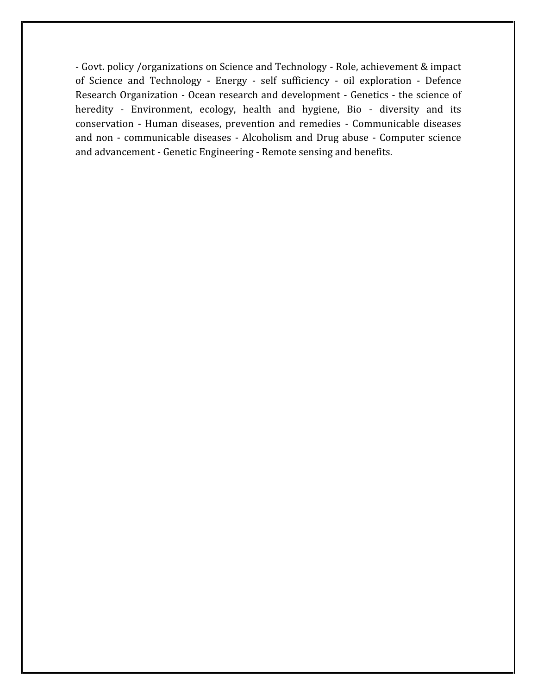‐ Govt. policy /organizations on Science and Technology ‐ Role, achievement & impact of Science and Technology ‐ Energy ‐ self sufficiency ‐ oil exploration ‐ Defence Research Organization ‐ Ocean research and development ‐ Genetics ‐ the science of heredity - Environment, ecology, health and hygiene, Bio - diversity and its conservation ‐ Human diseases, prevention and remedies ‐Communicable diseases and non ‐ communicable diseases ‐ Alcoholism and Drug abuse ‐ Computer science and advancement ‐ Genetic Engineering ‐ Remote sensing and benefits.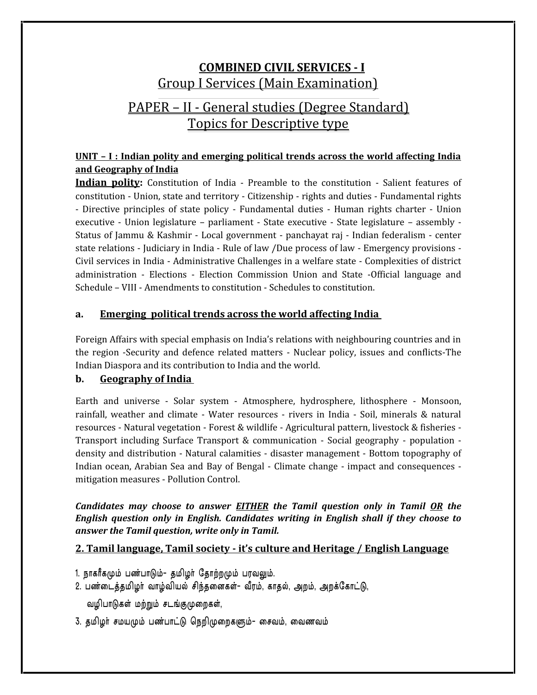# **COMBINED CIVIL SERVICES - I** Group I Services (Main Examination) PAPER – II ‐General studies (Degree Standard) Topics for Descriptive type

### **UNIT – I : Indian polity and emerging political trends across the world affecting India and Geography of India**

**Indian polity:** Constitution of India - Preamble to the constitution - Salient features of constitution ‐ Union, state and territory ‐ Citizenship ‐ rights and duties ‐ Fundamental rights ‐ Directive principles of state policy ‐ Fundamental duties ‐ Human rights charter ‐ Union executive - Union legislature – parliament - State executive - State legislature – assembly -Status of Jammu & Kashmir ‐ Local government ‐ panchayat raj ‐ Indian federalism ‐ center state relations ‐ Judiciary in India ‐ Rule of law /Due process of law ‐ Emergency provisions ‐ Civil services in India ‐ Administrative Challenges in a welfare state ‐ Complexities of district administration ‐ Elections ‐ Election Commission Union and State ‐Official language and Schedule – VIII ‐ Amendments to constitution ‐ Schedules to constitution.

#### **a. Emerging political trends across the world affecting India**

Foreign Affairs with special emphasis on India's relations with neighbouring countries and in the region ‐Security and defence related matters ‐ Nuclear policy, issues and conflicts‐The Indian Diaspora and its contribution to India and the world.

#### **b. Geography of India**

Earth and universe ‐ Solar system ‐ Atmosphere, hydrosphere, lithosphere ‐ Monsoon, rainfall, weather and climate ‐ Water resources ‐rivers in India ‐ Soil, minerals & natural resources ‐ Natural vegetation ‐ Forest & wildlife ‐ Agricultural pattern, livestock & fisheries ‐ Transport including Surface Transport & communication ‐ Social geography ‐ population ‐ density and distribution ‐ Natural calamities ‐ disaster management ‐ Bottom topography of Indian ocean, Arabian Sea and Bay of Bengal ‐ Climate change ‐ impact and consequences ‐ mitigation measures ‐ Pollution Control.

#### *Candidates may choose to answer EITHER the Tamil question only in Tamil OR the English question only in English. Candidates writing in English shall if they choose to answer the Tamil question, write only in Tamil.*

#### **2. Tamil language, Tamil society ‐ it's culture and Heritage / English Language**

- 1. நாகரீகமும் பண்பாடும்- தமிழர் தோற்றமும் பரவலும்.
- 2. பண்டைத்தமிழர் வாழ்வியல் சிந்தனைகள்- வீரம், காதல், அறம், அறக்கோட்டு,
	- வழிபாடுகள் மற்றும் சடங்குமுறைகள்,
- 3. தமிழர் சமயமும் பண்பாட்டு நெறிமுறைகளும்- சைவம், வைணவம்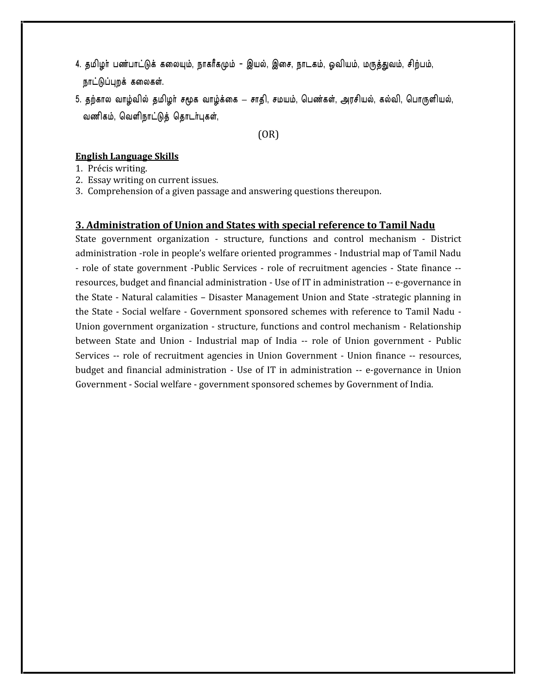- 4. தமிழர் பண்பாட்டுக் கலையும், நாகரீகமும் இயல், இசை, நாடகம், ஓவியம், மருத்துவம், சிற்பம், தமிழர் பண்பாட்டுக் கலையும்<br>நாட்டுப்புறக் கலைகள்.<br>தற்கால வாழ்வில் தமிழர் ச<sub>ே</sub> 4. தமிழர் பண்பாட்டுக் கலையும், நாகரீகமும் – இயல், இசை, நாடகம், ஓவியம், மருத்துவம், சிற்பம்,<br>நாட்டுப்புறக் கலைகள்.<br>5. தற்கால வாழ்வில் தமிழர் சமூக வாழ்க்கை — சாதி, சமயம், பெண்கள், அரசியல், கல்வி, பொருளியல்,<br>வணிகம், வெளிநாட்
- தடை உடை உடும் பான்புட்டி தான்க்குட்ட இட்டி இ<br>நாட்டுப்புறக் கலைகள்.<br>தற்கால வாழ்வில் தமிழர் சமூக வாழ்க்கை சாதி, ச<br>வணிகம், வெளிநாட்டுத் தொடர்புகள்,<br>(OR)

(OR)

#### **English Language Skills**

- 1. Précis writing.
- 2. Essay writing on current issues.
- 3. Comprehension of a given passage and answering questions thereupon.

#### **3. Administration of Union and States with special reference to Tamil Nadu**

State government organization ‐ structure, functions and control mechanism ‐ District administration ‐role in people's welfare oriented programmes ‐ Industrial map of Tamil Nadu ‐ role of state government ‐Public Services ‐role of recruitment agencies ‐State finance ‐‐ resources, budget and financial administration ‐ Use of IT in administration ‐‐ e‐governance in the State ‐ Natural calamities – Disaster Management Union and State ‐strategic planning in the State ‐ Social welfare ‐ Government sponsored schemes with reference to Tamil Nadu ‐ Union government organization ‐ structure, functions and control mechanism ‐ Relationship between State and Union ‐ Industrial map of India ‐‐role of Union government ‐ Public Services -- role of recruitment agencies in Union Government - Union finance -- resources, budget and financial administration ‐ Use of IT in administration ‐‐ e‐governance in Union Government ‐ Social welfare ‐ government sponsored schemes by Government of India.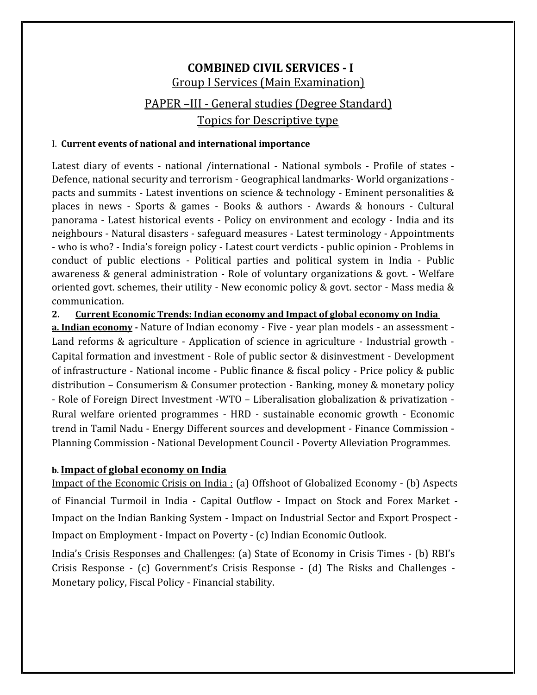# **COMBINED CIVIL SERVICES - I** Group I Services (Main Examination) PAPER –III ‐ General studies (Degree Standard)

Topics for Descriptive type

### I. **Current events of national and international importance**

Latest diary of events - national /international - National symbols - Profile of states -<br>Defence, national security and terrorism - Geographical landmarks- World organizations pacts and summits - Latest inventions on science & technology - Eminent personalities & places in news ‐ Sports & games ‐ Books & authors ‐ Awards & honours ‐ Cultural panorama ‐ Latest historical events ‐ Policy on environment and ecology ‐ India and its neighbours ‐ Natural disasters ‐ safeguard measures ‐ Latest terminology ‐ Appointments ‐ who is who? ‐ India's foreign policy ‐ Latest court verdicts ‐ public opinion ‐ Problems in conduct of public elections ‐ Political parties and political system in India ‐ Public awareness & general administration ‐ Role of voluntary organizations & govt. ‐ Welfare oriented govt. schemes, their utility - New economic policy & govt. sector - Mass media & communication.<br>2. **Current Eco** 

**2. Current Economic Trends: Indian economy and Impact of global economy on India**

**a. Indian economy ‐** Nature of Indian economy ‐ Five ‐ year plan models ‐ an assessment ‐ Land reforms & agriculture - Application of science in agriculture - Industrial growth -Capital formation and investment ‐ Role of public sector & disinvestment ‐ Development of infrastructure ‐ National income ‐ Public finance & fiscal policy ‐ Price policy & public distribution – Consumerism & Consumer protection ‐ Banking, money & monetary policy ‐ Role of Foreign Direct Investment ‐WTO – Liberalisation globalization & privatization ‐ Rural welfare oriented programmes ‐HRD ‐ sustainable economic growth ‐ Economic trend in Tamil Nadu ‐ Energy Different sources and development ‐ Finance Commission ‐ Planning Commission ‐ National Development Council ‐ Poverty Alleviation Programmes.

### **b. Impact of global economy on India**

Impact of the Economic Crisis on India : (a) Offshoot of Globalized Economy - (b) Aspects of Financial Turmoil in India ‐ Capital Outflow ‐ Impact on Stock and Forex Market ‐ Impact on the Indian Banking System ‐ Impact on Industrial Sector and Export Prospect ‐ Impact on Employment ‐ Impact on Poverty ‐ (c) Indian Economic Outlook.

India's Crisis Responses and Challenges: (a) State of Economy in Crisis Times - (b) RBI's Crisis Response ‐ (c) Government's Crisis Response ‐ (d) The Risks and Challenges ‐ Monetary policy, Fiscal Policy ‐ Financial stability.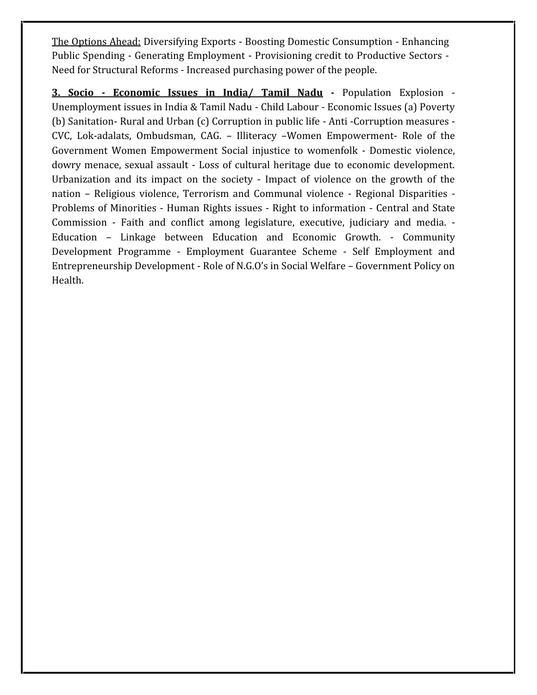The Options Ahead: Diversifying Exports ‐ Boosting Domestic Consumption ‐ Enhancing Public Spending ‐ Generating Employment ‐ Provisioning credit to Productive Sectors ‐ Need for Structural Reforms ‐ Increased purchasing power of the people.

**3. Socio - Economic Issues in India/ Tamil Nadu ‐** Population Explosion ‐ Unemployment issues in India & Tamil Nadu ‐ Child Labour ‐Economic Issues (a) Poverty (b) Sanitation‐ Rural and Urban (c) Corruption in public life ‐ Anti ‐Corruption measures ‐ CVC, Lok‐adalats, Ombudsman, CAG. – Illiteracy –Women Empowerment‐ Role of the Government Women Empowerment Social injustice to womenfolk ‐ Domestic violence, dowry menace, sexual assault ‐ Loss of cultural heritage due to economic development. Urbanization and its impact on the society ‐ Impact of violence on the growth of the nation – Religious violence, Terrorism and Communal violence - Regional Disparities -<br>Problems of Minorities - Human Rights issues - Right to information - Central and State Commission ‐ Faith and conflict among legislature, executive, judiciary and media. ‐ Education – Linkage between Education and Economic Growth. ‐ Community Development Programme ‐ Employment Guarantee Scheme ‐ Self Employment and Entrepreneurship Development ‐ Role of N.G.O's in Social Welfare – Government Policy on Health.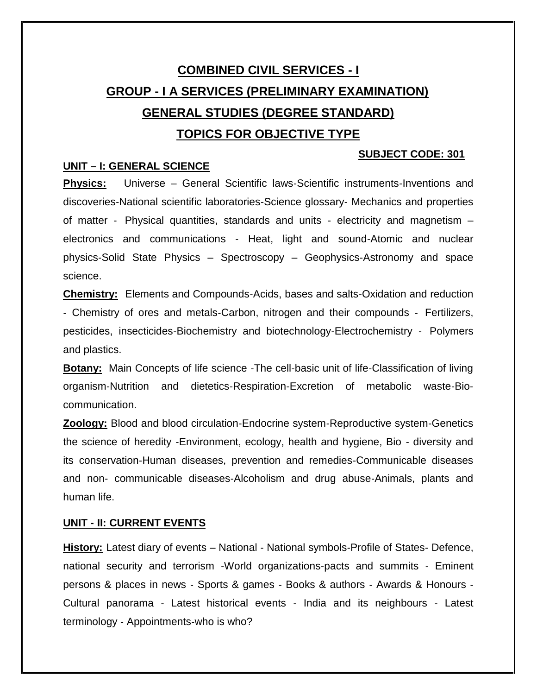# **COMBINED CIVIL SERVICES - I GROUP - I A SERVICES (PRELIMINARY EXAMINATION) GENERAL STUDIES (DEGREE STANDARD) TOPICS FOR OBJECTIVE TYPE**

#### **SUBJECT CODE: 301**

#### **UNIT – I: GENERAL SCIENCE**

**Physics:** Universe – General Scientific laws-Scientific instruments-Inventions and discoveries‐National scientific laboratories‐Science glossary‐ Mechanics and properties of matter ‐ Physical quantities, standards and units ‐ electricity and magnetism – electronics and communications ‐Heat, light and sound‐Atomic and nuclear physics‐Solid State Physics – Spectroscopy – Geophysics‐Astronomy and space science.

**Chemistry:** Elements and Compounds‐Acids, bases and salts‐Oxidation and reduction ‐ Chemistry of ores and metals‐Carbon, nitrogen and their compounds ‐ Fertilizers, pesticides, insecticides‐Biochemistry and biotechnology‐Electrochemistry ‐ Polymers and plastics.

**Botany:** Main Concepts of life science -The cell-basic unit of life-Classification of living organism‐Nutrition and dietetics‐Respiration‐Excretion of metabolic waste‐Bio‐ communication.

**Zoology:** Blood and blood circulation‐Endocrine system‐Reproductive system‐Genetics the science of heredity ‐Environment, ecology, health and hygiene, Bio ‐ diversity and its conservation‐Human diseases, prevention and remedies‐Communicable diseases and non‐ communicable diseases‐Alcoholism and drug abuse‐Animals, plants and human life.

#### **UNIT ‐ II: CURRENT EVENTS**

History: Latest diary of events – National - National symbols-Profile of States- Defence, national security and terrorism ‐World organizations‐pacts and summits ‐ Eminent persons & places in news ‐ Sports & games ‐ Books & authors ‐ Awards & Honours ‐ Cultural panorama ‐ Latest historical events ‐ India and its neighbours ‐ Latest terminology ‐ Appointments‐who is who?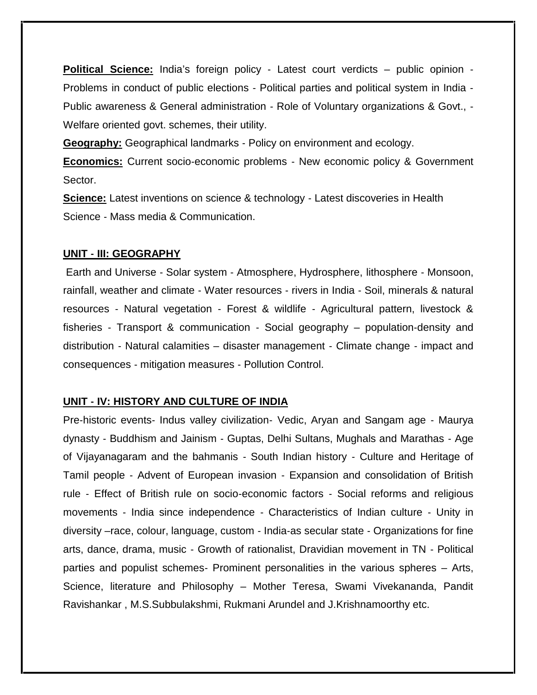**Political Science:** India's foreign policy ‐ Latest court verdicts – public opinion ‐ Problems in conduct of public elections ‐ Political parties and political system in India ‐ Public awareness & General administration ‐ Role of Voluntary organizations & Govt., ‐ Welfare oriented govt. schemes, their utility.

**Geography:** Geographical landmarks ‐ Policy on environment and ecology.

**Economics:** Current socio‐economic problems ‐ New economic policy & Government Sector.

**Science:** Latest inventions on science & technology ‐ Latest discoveries in Health Science ‐ Mass media & Communication.

#### **UNIT ‐ III: GEOGRAPHY**

Earth and Universe ‐ Solar system ‐ Atmosphere, Hydrosphere, lithosphere ‐ Monsoon, rainfall, weather and climate ‐ Water resources ‐ rivers in India ‐ Soil, minerals & natural resources ‐ Natural vegetation ‐ Forest & wildlife ‐ Agricultural pattern, livestock & fisheries ‐ Transport & communication ‐ Social geography – population‐density and distribution ‐ Natural calamities – disaster management ‐ Climate change ‐ impact and consequences ‐ mitigation measures ‐ Pollution Control.

#### **UNIT ‐ IV: HISTORY AND CULTURE OF INDIA**

Pre‐historic events‐ Indus valley civilization‐ Vedic, Aryan and Sangam age ‐ Maurya dynasty ‐ Buddhism and Jainism ‐ Guptas, Delhi Sultans, Mughals and Marathas ‐ Age of Vijayanagaram and the bahmanis ‐ South Indian history ‐ Culture and Heritage of Tamil people ‐ Advent of European invasion ‐ Expansion and consolidation of British rule ‐ Effect of British rule on socio‐economic factors ‐ Social reforms and religious movements ‐ India since independence ‐ Characteristics of Indian culture ‐ Unity in diversity –race, colour, language, custom ‐ India‐as secular state ‐ Organizations for fine arts, dance, drama, music ‐ Growth of rationalist, Dravidian movement in TN ‐ Political parties and populist schemes‐ Prominent personalities in the various spheres – Arts, Science, literature and Philosophy – Mother Teresa, Swami Vivekananda, Pandit Ravishankar , M.S.Subbulakshmi, Rukmani Arundel and J.Krishnamoorthy etc.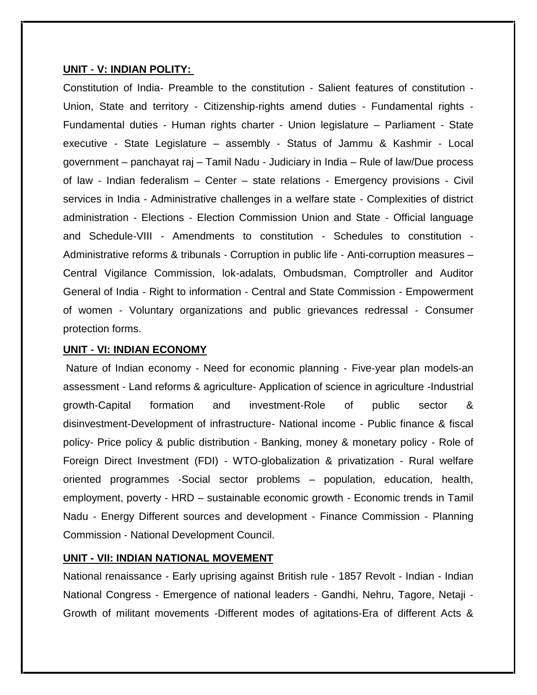#### **UNIT ‐ V: INDIAN POLITY:**

Constitution of India‐ Preamble to the constitution ‐ Salient features of constitution ‐ Union, State and territory ‐ Citizenship‐rights amend duties ‐ Fundamental rights ‐ Fundamental duties ‐ Human rights charter ‐ Union legislature – Parliament ‐ State executive ‐ State Legislature – assembly ‐ Status of Jammu & Kashmir ‐ Local government – panchayat raj – Tamil Nadu ‐ Judiciary in India – Rule of law/Due process of law ‐ Indian federalism – Center – state relations ‐ Emergency provisions ‐ Civil services in India ‐ Administrative challenges in a welfare state ‐ Complexities of district administration ‐ Elections ‐ Election Commission Union and State ‐ Official language and Schedule‐VIII ‐ Amendments to constitution ‐ Schedules to constitution ‐ Administrative reforms & tribunals - Corruption in public life - Anti-corruption measures – Central Vigilance Commission, lok‐adalats, Ombudsman, Comptroller and Auditor General of India ‐ Right to information ‐ Central and State Commission ‐ Empowerment of women ‐ Voluntary organizations and public grievances redressal ‐ Consumer protection forms.

#### **UNIT ‐ VI: INDIAN ECONOMY**

Nature of Indian economy ‐ Need for economic planning ‐ Five‐year plan models‐an assessment ‐ Land reforms & agriculture‐ Application of science in agriculture ‐Industrial growth‐Capital formation and investment‐Role of public sector & disinvestment‐Development of infrastructure‐ National income ‐ Public finance & fiscal policy‐ Price policy & public distribution ‐ Banking, money & monetary policy ‐ Role of Foreign Direct Investment (FDI) ‐ WTO‐globalization & privatization ‐ Rural welfare oriented programmes ‐Social sector problems – population, education, health, employment, poverty ‐ HRD – sustainable economic growth ‐ Economic trends in Tamil Nadu ‐ Energy Different sources and development ‐ Finance Commission ‐ Planning Commission ‐ National Development Council.

#### **UNIT - VII: INDIAN NATIONAL MOVEMENT**

National renaissance ‐ Early uprising against British rule ‐ 1857 Revolt ‐ Indian - Indian National Congress ‐ Emergence of national leaders ‐ Gandhi, Nehru, Tagore, Netaji ‐ Growth of militant movements ‐Different modes of agitations‐Era of different Acts &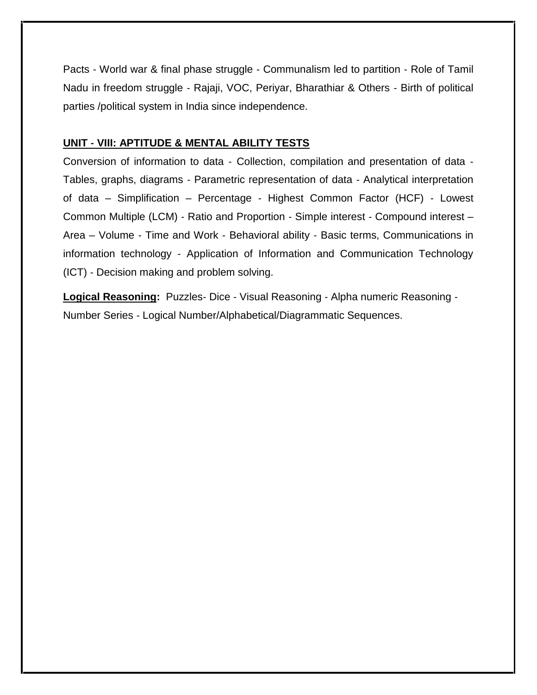Pacts ‐ World war & final phase struggle ‐ Communalism led to partition ‐ Role of Tamil Nadu in freedom struggle ‐ Rajaji, VOC, Periyar, Bharathiar & Others ‐ Birth of political parties /political system in India since independence.

#### **UNIT ‐ VIII: APTITUDE & MENTAL ABILITY TESTS**

Conversion of information to data ‐ Collection, compilation and presentation of data ‐ Tables, graphs, diagrams ‐ Parametric representation of data ‐ Analytical interpretation of data – Simplification – Percentage ‐ Highest Common Factor (HCF) ‐ Lowest Common Multiple (LCM) ‐ Ratio and Proportion ‐ Simple interest ‐ Compound interest – Area – Volume ‐ Time and Work ‐ Behavioral ability ‐ Basic terms, Communications in information technology ‐ Application of Information and Communication Technology (ICT) ‐ Decision making and problem solving.

**Logical Reasoning:** Puzzles‐ Dice ‐ Visual Reasoning ‐ Alpha numeric Reasoning ‐ Number Series ‐ Logical Number/Alphabetical/Diagrammatic Sequences.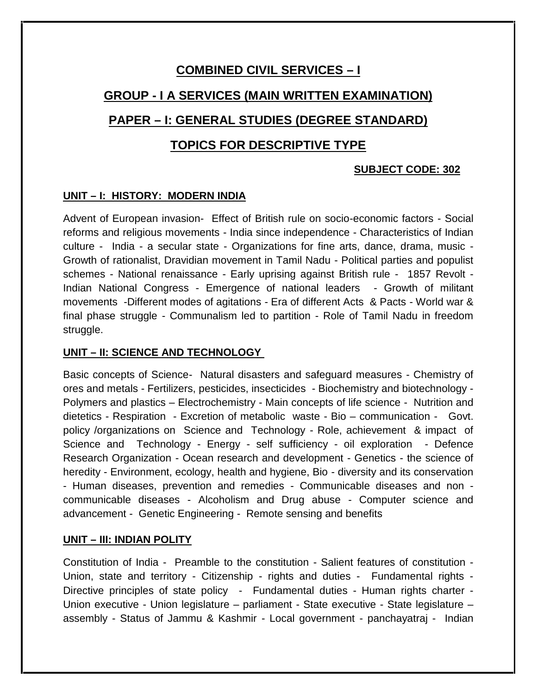# **COMBINED CIVIL SERVICES – I**

# **GROUP - I A SERVICES (MAIN WRITTEN EXAMINATION)**

# **PAPER – I: GENERAL STUDIES (DEGREE STANDARD)**

# **TOPICS FOR DESCRIPTIVE TYPE**

### **SUBJECT CODE: 302**

### **UNIT – I: HISTORY: MODERN INDIA**

Advent of European invasion- Effect of British rule on socio-economic factors - Social reforms and religious movements - India since independence - Characteristics of Indian culture - India - a secular state - Organizations for fine arts, dance, drama, music - Growth of rationalist, Dravidian movement in Tamil Nadu - Political parties and populist schemes - National renaissance - Early uprising against British rule - 1857 Revolt - Indian National Congress - Emergence of national leaders - Growth of militant movements -Different modes of agitations - Era of different Acts & Pacts - World war & final phase struggle - Communalism led to partition - Role of Tamil Nadu in freedom struggle.

## **UNIT – II: SCIENCE AND TECHNOLOGY**

Basic concepts of Science- Natural disasters and safeguard measures - Chemistry of ores and metals - Fertilizers, pesticides, insecticides - Biochemistry and biotechnology - Polymers and plastics – Electrochemistry - Main concepts of life science - Nutrition and dietetics - Respiration - Excretion of metabolic waste - Bio – communication - Govt. policy /organizations on Science and Technology - Role, achievement & impact of Science and Technology - Energy - self sufficiency - oil exploration - Defence Research Organization - Ocean research and development - Genetics - the science of heredity - Environment, ecology, health and hygiene, Bio - diversity and its conservation - Human diseases, prevention and remedies - Communicable diseases and non communicable diseases - Alcoholism and Drug abuse - Computer science and advancement - Genetic Engineering - Remote sensing and benefits

### **UNIT – III: INDIAN POLITY**

Constitution of India - Preamble to the constitution - Salient features of constitution - Union, state and territory - Citizenship - rights and duties - Fundamental rights - Directive principles of state policy - Fundamental duties - Human rights charter -Union executive - Union legislature – parliament - State executive - State legislature – assembly - Status of Jammu & Kashmir - Local government - panchayatraj - Indian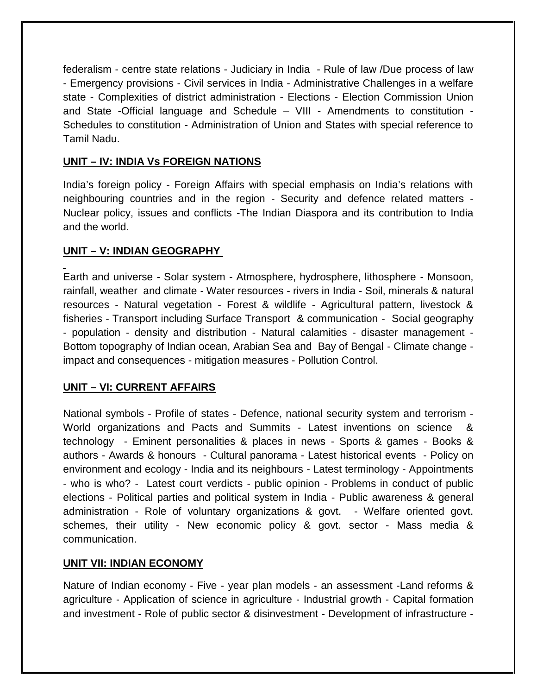federalism - centre state relations - Judiciary in India - Rule of law /Due process of law - Emergency provisions - Civil services in India - Administrative Challenges in a welfare state - Complexities of district administration - Elections - Election Commission Union and State -Official language and Schedule – VIII - Amendments to constitution -Schedules to constitution - Administration of Union and States with special reference to Tamil Nadu.

## **UNIT – IV: INDIA Vs FOREIGN NATIONS**

India's foreign policy - Foreign Affairs with special emphasis on India's relations with neighbouring countries and in the region - Security and defence related matters - Nuclear policy, issues and conflicts -The Indian Diaspora and its contribution to India and the world.

# **UNIT – V: INDIAN GEOGRAPHY**

Earth and universe - Solar system - Atmosphere, hydrosphere, lithosphere - Monsoon, rainfall, weather and climate - Water resources - rivers in India - Soil, minerals & natural resources - Natural vegetation - Forest & wildlife - Agricultural pattern, livestock & fisheries - Transport including Surface Transport & communication - Social geography - population - density and distribution - Natural calamities - disaster management - Bottom topography of Indian ocean, Arabian Sea and Bay of Bengal - Climate change impact and consequences - mitigation measures - Pollution Control.

# **UNIT – VI: CURRENT AFFAIRS**

National symbols - Profile of states - Defence, national security system and terrorism - World organizations and Pacts and Summits - Latest inventions on science & technology - Eminent personalities & places in news - Sports & games - Books & authors - Awards & honours - Cultural panorama - Latest historical events - Policy on environment and ecology - India and its neighbours - Latest terminology - Appointments - who is who? - Latest court verdicts - public opinion - Problems in conduct of public elections - Political parties and political system in India - Public awareness & general administration - Role of voluntary organizations & govt. - Welfare oriented govt. schemes, their utility - New economic policy & govt. sector - Mass media & communication.

### **UNIT VII: INDIAN ECONOMY**

Nature of Indian economy - Five - year plan models - an assessment - Land reforms & agriculture ‐ Application of science in agriculture ‐ Industrial growth ‐ Capital formation and investment ‐ Role of public sector & disinvestment ‐ Development of infrastructure ‐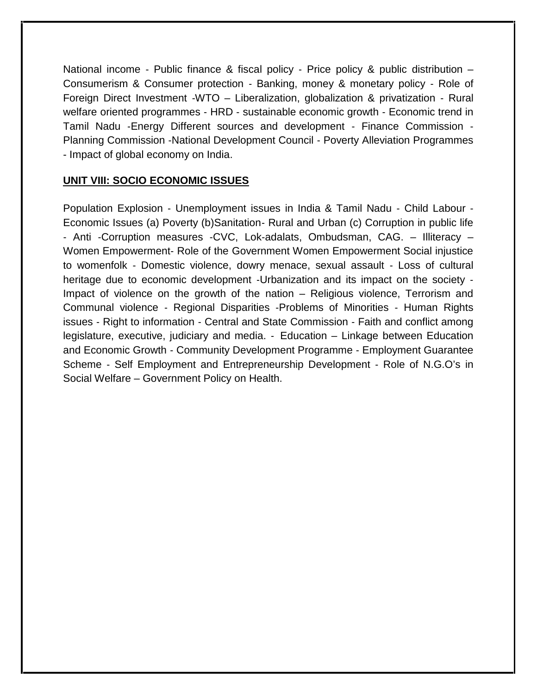National income - Public finance & fiscal policy - Price policy & public distribution – Consumerism & Consumer protection ‐ Banking, money & monetary policy ‐ Role of Foreign Direct Investment ‐WTO – Liberalization, globalization & privatization ‐ Rural welfare oriented programmes - HRD - sustainable economic growth - Economic trend in Tamil Nadu ‐Energy Different sources and development ‐ Finance Commission ‐ Planning Commission ‐National Development Council ‐ Poverty Alleviation Programmes - Impact of global economy on India.

# **UNIT VIII: SOCIO ECONOMIC ISSUES**

Population Explosion ‐ Unemployment issues in India & Tamil Nadu ‐ Child Labour ‐ Economic Issues (a) Poverty (b)Sanitation‐ Rural and Urban (c) Corruption in public life ‐ Anti ‐Corruption measures ‐CVC, Lok‐adalats, Ombudsman, CAG. – Illiteracy – Women Empowerment‐ Role of the Government Women Empowerment Social injustice to womenfolk ‐ Domestic violence, dowry menace, sexual assault ‐ Loss of cultural heritage due to economic development - Urbanization and its impact on the society -Impact of violence on the growth of the nation – Religious violence, Terrorism and Communal violence ‐ Regional Disparities ‐Problems of Minorities ‐ Human Rights issues ‐ Right to information ‐ Central and State Commission ‐ Faith and conflict among legislature, executive, judiciary and media. ‐ Education – Linkage between Education and Economic Growth ‐ Community Development Programme ‐ Employment Guarantee Scheme ‐ Self Employment and Entrepreneurship Development ‐ Role of N.G.O's in Social Welfare – Government Policy on Health.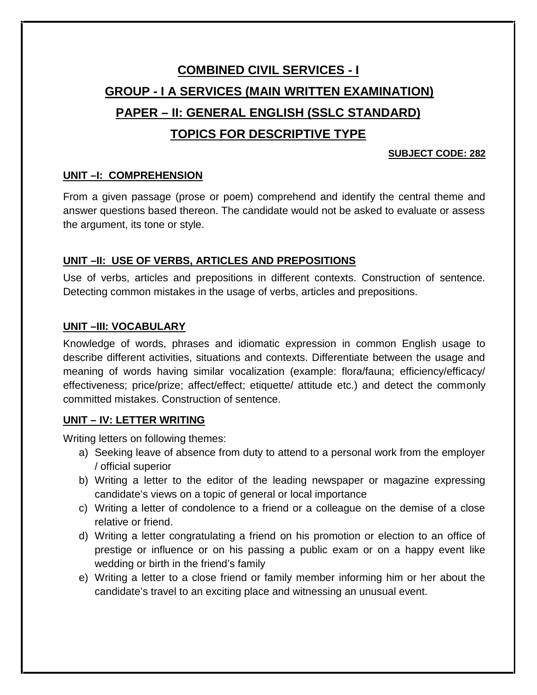# **COMBINED CIVIL SERVICES - I GROUP - I A SERVICES (MAIN WRITTEN EXAMINATION) PAPER – II: GENERAL ENGLISH (SSLC STANDARD) TOPICS FOR DESCRIPTIVE TYPE**

### **SUBJECT CODE: 282**

# **UNIT –I: COMPREHENSION**

From a given passage (prose or poem) comprehend and identify the central theme and answer questions based thereon. The candidate would not be asked to evaluate or assess the argument, its tone or style.

# **UNIT –II: USE OF VERBS, ARTICLES AND PREPOSITIONS**

Use of verbs, articles and prepositions in different contexts. Construction of sentence. Detecting common mistakes in the usage of verbs, articles and prepositions.

## **UNIT –III: VOCABULARY**

Knowledge of words, phrases and idiomatic expression in common English usage to describe different activities, situations and contexts. Differentiate between the usage and meaning of words having similar vocalization (example: flora/fauna; efficiency/efficacy/ effectiveness; price/prize; affect/effect; etiquette/ attitude etc.) and detect the commonly committed mistakes. Construction of sentence.

# **UNIT – IV: LETTER WRITING**

Writing letters on following themes:

- a) Seeking leave of absence from duty to attend to a personal work from the employer / official superior
- b) Writing a letter to the editor of the leading newspaper or magazine expressing candidate's views on a topic of general or local importance
- c) Writing a letter of condolence to a friend or a colleague on the demise of a close relative or friend.
- d) Writing a letter congratulating a friend on his promotion or election to an office of prestige or influence or on his passing a public exam or on a happy event like wedding or birth in the friend's family
- e) Writing a letter to a close friend or family member informing him or her about the candidate's travel to an exciting place and witnessing an unusual event.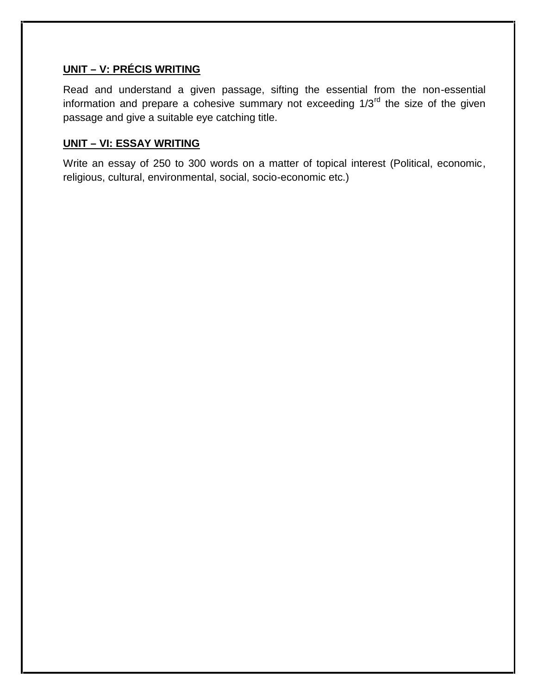# **UNIT – V: PRÉCIS WRITING**

Read and understand a given passage, sifting the essential from the non-essential information and prepare a cohesive summary not exceeding 1/3rd the size of the given passage and give a suitable eye catching title.

## **UNIT – VI: ESSAY WRITING**

Write an essay of 250 to 300 words on a matter of topical interest (Political, economic, religious, cultural, environmental, social, socio-economic etc.)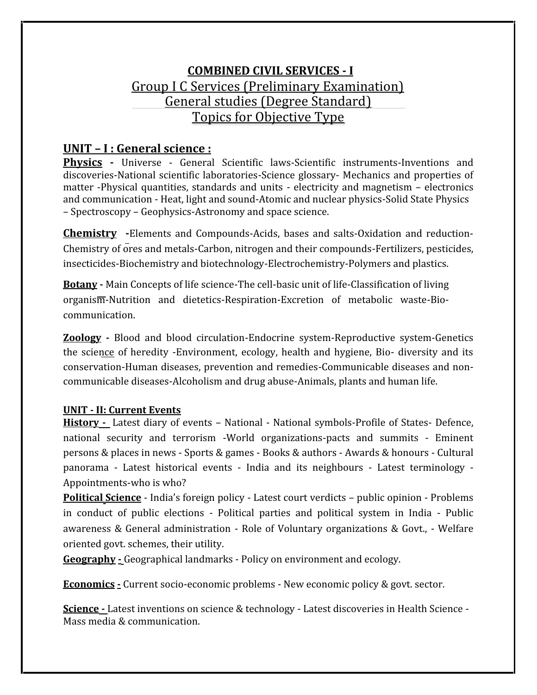# **COMBINED CIVIL SERVICES - I** Group I C Services (Preliminary Examination) General studies (Degree Standard) Topics for Objective Type

# **UNIT – I :General science :**

**Physics -** Universe ‐ General Scientific laws‐Scientific instruments‐Inventions and discoveries‐National scientific laboratories‐Science glossary‐ Mechanics and properties of matter ‐Physical quantities, standards and units ‐electricity and magnetism – electronics and communication ‐ Heat, light and sound‐Atomic and nuclear physics‐Solid State Physics – Spectroscopy – Geophysics‐Astronomy and space science.

**Chemistry -**Elements and Compounds‐Acids, bases and salts‐Oxidation and reduction‐ Chemistry of ores and metals‐Carbon, nitrogen and their compounds‐Fertilizers, pesticides, insecticides‐Biochemistry and biotechnology‐Electrochemistry‐Polymers and plastics.

**Botany ‐** Main Concepts of life science‐The cell‐basic unit of life‐Classification of living organism‐Nutrition and dietetics‐Respiration‐Excretion of metabolic waste‐Bio‐ communication.

**Zoology ‐** Blood and blood circulation‐Endocrine system‐Reproductive system‐Genetics the science of heredity ‐Environment, ecology, health and hygiene, Bio‐ diversity and its conservation‐Human diseases, prevention and remedies‐Communicable diseases and non‐ communicable diseases‐Alcoholism and drug abuse‐Animals, plants and human life.

# **UNIT ‐ II: Current Events**

**History ‐** Latest diary of events – National ‐ National symbols‐Profile of States‐ Defence, national security and terrorism ‐World organizations‐pacts and summits ‐ Eminent persons & places in news ‐ Sports & games ‐ Books & authors ‐ Awards & honours ‐ Cultural panorama ‐ Latest historical events ‐ India and its neighbours ‐ Latest terminology ‐ Appointments‐who is who?

**Political Science** ‐ India's foreign policy ‐ Latest court verdicts – public opinion ‐ Problems in conduct of public elections ‐ Political parties and political system in India ‐ Public awareness & General administration ‐ Role of Voluntary organizations & Govt., ‐ Welfare oriented govt. schemes, their utility.

**Geography ‐** Geographical landmarks ‐ Policy on environment and ecology.

**Economics ‐** Current socio‐economic problems ‐ New economic policy & govt. sector.

**Science ‐** Latest inventions on science & technology ‐ Latest discoveries in Health Science ‐ Mass media & communication.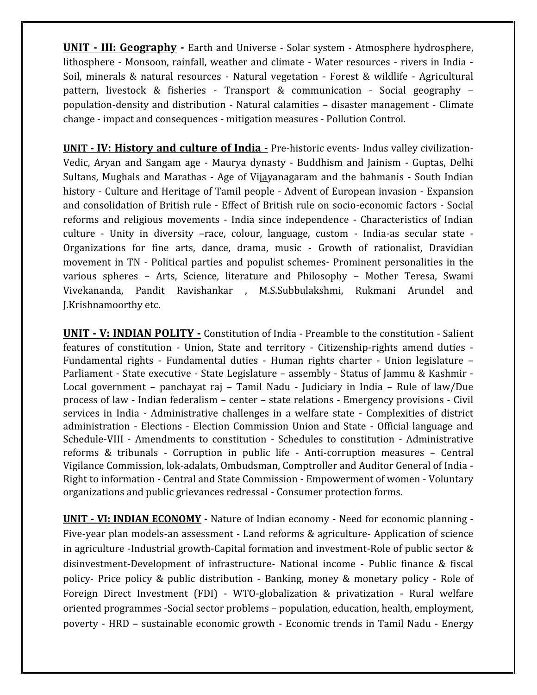**UNIT ‐ III: Geography ‐** Earth and Universe ‐ Solar system ‐ Atmosphere hydrosphere, lithosphere ‐ Monsoon, rainfall, weather and climate ‐ Water resources ‐ rivers in India ‐ Soil, minerals & natural resources ‐Natural vegetation ‐ Forest & wildlife ‐ Agricultural pattern, livestock & fisheries ‐ Transport & communication ‐ Social geography – population‐density and distribution ‐ Natural calamities – disaster management ‐ Climate change ‐ impact and consequences ‐ mitigation measures ‐ Pollution Control.

**UNIT ‐ IV: History and culture of India ‐** Pre‐historic events‐ Indus valley civilization‐ Vedic, Aryan and Sangam age ‐ Maurya dynasty ‐ Buddhism and Jainism ‐ Guptas, Delhi Sultans, Mughals and Marathas - Age of Vijayanagaram and the bahmanis - South Indian history ‐ Culture and Heritage of Tamil people ‐ Advent of European invasion ‐ Expansion and consolidation of British rule ‐ Effect of British rule on socio‐economic factors ‐ Social reforms and religious movements ‐India since independence ‐ Characteristics of Indian culture ‐ Unity in diversity –race, colour, language, custom ‐ India‐as secular state ‐ Organizations for fine arts, dance, drama, music ‐ Growth of rationalist, Dravidian movement in TN ‐ Political parties and populist schemes‐ Prominent personalities in the various spheres – Arts, Science, literature and Philosophy – Mother Teresa, Swami Vivekananda, Pandit Ravishankar , M.S.Subbulakshmi, Rukmani Arundel and J.Krishnamoorthy etc.

**UNIT ‐ V: INDIAN POLITY ‐** Constitution of India ‐ Preamble to the constitution ‐ Salient features of constitution ‐ Union, State and territory ‐ Citizenship‐rights amend duties ‐ Fundamental rights - Fundamental duties - Human rights charter - Union legislature – Parliament - State executive - State Legislature – assembly - Status of Jammu & Kashmir -Local government – panchayat raj – Tamil Nadu – Judiciary in India – Rule of law/Due process of law ‐ Indian federalism – center – state relations ‐ Emergency provisions ‐ Civil services in India ‐ Administrative challenges in a welfare state ‐ Complexities of district administration ‐ Elections ‐Election Commission Union and State ‐ Official language and Schedule‐VIII ‐ Amendments to constitution ‐ Schedules to constitution ‐ Administrative reforms & tribunals ‐ Corruption in public life ‐ Anti‐corruption measures – Central Vigilance Commission, lok‐adalats, Ombudsman, Comptroller and Auditor General of India ‐ Right to information ‐ Central and State Commission ‐ Empowerment of women ‐ Voluntary organizations and public grievances redressal ‐ Consumer protection forms.

**UNIT ‐ VI: INDIAN ECONOMY ‐** Nature of Indian economy ‐ Need for economic planning ‐ Five-year plan models-an assessment - Land reforms & agriculture- Application of science in agriculture -Industrial growth-Capital formation and investment-Role of public sector & disinvestment‐Development of infrastructure‐ National income ‐ Public finance & fiscal policy‐ Price policy & public distribution ‐ Banking, money & monetary policy ‐ Role of Foreign Direct Investment (FDI) ‐ WTO‐globalization & privatization ‐ Rural welfare oriented programmes ‐Social sector problems – population, education, health, employment, poverty ‐ HRD – sustainable economic growth ‐ Economic trends in Tamil Nadu ‐ Energy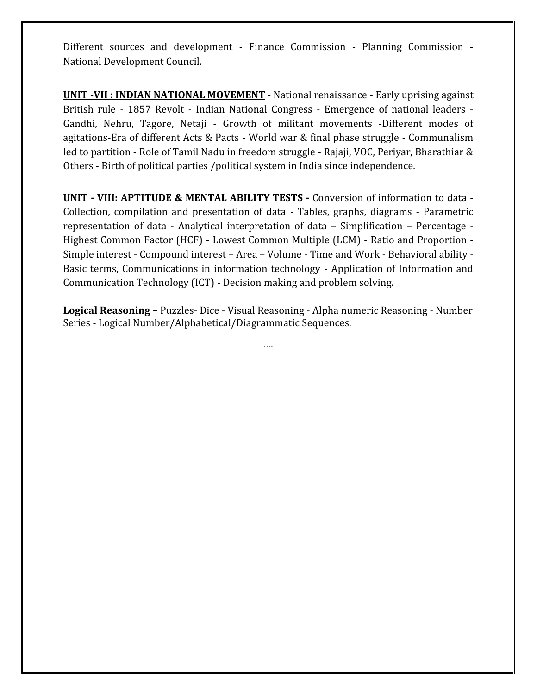Different sources and development ‐ Finance Commission ‐ Planning Commission ‐ National Development Council.

**UNIT -VII : INDIAN NATIONAL MOVEMENT ‐** National renaissance ‐ Early uprising against Gandhi, Nehru, Tagore, Netaji ‐ Growth of militant movements ‐Different modes of agitations‐Era of different Acts & Pacts ‐ World war & final phase struggle ‐ Communalism led to partition ‐ Role of Tamil Nadu in freedom struggle ‐ Rajaji, VOC, Periyar, Bharathiar & Others ‐ Birth of political parties /political system in India since independence.

**UNIT ‐ VIII: APTITUDE & MENTAL ABILITY TESTS ‐** Conversion of information to data ‐ Collection, compilation and presentation of data ‐ Tables, graphs, diagrams ‐Parametric representation of data ‐ Analytical interpretation of data – Simplification – Percentage ‐ Highest Common Factor (HCF) ‐ Lowest Common Multiple (LCM) ‐ Ratio and Proportion ‐ Simple interest ‐ Compound interest – Area – Volume ‐ Time and Work ‐ Behavioral ability ‐ Basic terms, Communications in information technology ‐ Application of Information and Communication Technology (ICT) ‐ Decision making and problem solving.

**Logical Reasoning –** Puzzles‐ Dice ‐ Visual Reasoning ‐ Alpha numeric Reasoning ‐ Number Series ‐ Logical Number/Alphabetical/Diagrammatic Sequences.

….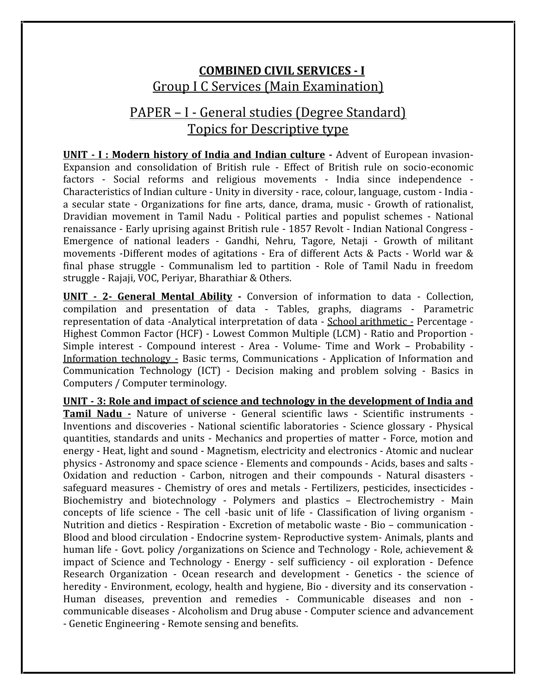# **COMBINED CIVIL SERVICES - I** Group I C Services (Main Examination)

# PAPER – I ‐ General studies (Degree Standard) Topics for Descriptive type

**UNIT - I : Modern history of India and Indian culture ‐** Advent of European invasion‐ Expansion and consolidation of British rule ‐ Effect of British rule on socio‐economic factors ‐ Social reforms and religious movements ‐ India since independence ‐ Characteristics of Indian culture ‐ Unity in diversity ‐ race, colour, language, custom ‐ India ‐ a secular state ‐ Organizations for fine arts, dance, drama, music ‐ Growth of rationalist, Dravidian movement in Tamil Nadu ‐ Political parties and populist schemes ‐ National renaissance ‐ Early uprising against British rule ‐ 1857 Revolt ‐ Indian National Congress ‐ Emergence of national leaders ‐ Gandhi, Nehru, Tagore, Netaji ‐ Growth of militant movements ‐Different modes of agitations ‐Era of different Acts & Pacts ‐World war & final phase struggle ‐ Communalism led to partition ‐ Role of Tamil Nadu in freedom struggle ‐ Rajaji, VOC, Periyar, Bharathiar & Others.

**UNIT ‐ 2- General Mental Ability -** Conversion of information to data ‐ Collection, compilation and presentation of data ‐ Tables, graphs, diagrams ‐ Parametric representation of data ‐Analytical interpretation of data ‐ School arithmetic ‐ Percentage ‐ Highest Common Factor (HCF) ‐ Lowest Common Multiple (LCM) ‐ Ratio and Proportion ‐ Simple interest ‐ Compound interest ‐ Area ‐ Volume‐ Time and Work – Probability ‐ Information technology ‐ Basic terms, Communications ‐Application of Information and Communication Technology (ICT) ‐ Decision making and problem solving ‐ Basics in Computers / Computer terminology.

**UNIT ‐ 3: Role and impact of science and technology in the development of India and Tamil Nadu -** Nature of universe ‐ General scientific laws ‐ Scientific instruments ‐ Inventions and discoveries - National scientific laboratories - Science glossary - Physical quantities, standards and units ‐Mechanics and properties of matter ‐ Force, motion and energy ‐ Heat, light and sound ‐ Magnetism, electricity and electronics ‐ Atomic and nuclear physics ‐ Astronomy and space science ‐ Elements and compounds ‐ Acids, bases and salts ‐ Oxidation and reduction ‐ Carbon, nitrogen and their compounds ‐ Natural disasters ‐ safeguard measures - Chemistry of ores and metals - Fertilizers, pesticides, insecticides -Biochemistry and biotechnology ‐ Polymers and plastics – Electrochemistry ‐ Main concepts of life science ‐ The cell ‐basic unit of life ‐ Classification of living organism ‐ Nutrition and dietics ‐ Respiration ‐ Excretion of metabolic waste ‐ Bio – communication ‐ Blood and blood circulation ‐ Endocrine system‐ Reproductive system‐ Animals, plants and human life - Govt. policy /organizations on Science and Technology - Role, achievement & impact of Science and Technology ‐ Energy ‐ self sufficiency ‐ oil exploration ‐ Defence Research Organization ‐ Ocean research and development ‐ Genetics ‐ the science of heredity - Environment, ecology, health and hygiene, Bio - diversity and its conservation -Human diseases, prevention and remedies ‐ Communicable diseases and non ‐ communicable diseases ‐ Alcoholism and Drug abuse ‐ Computer science and advancement ‐ Genetic Engineering ‐ Remote sensing and benefits.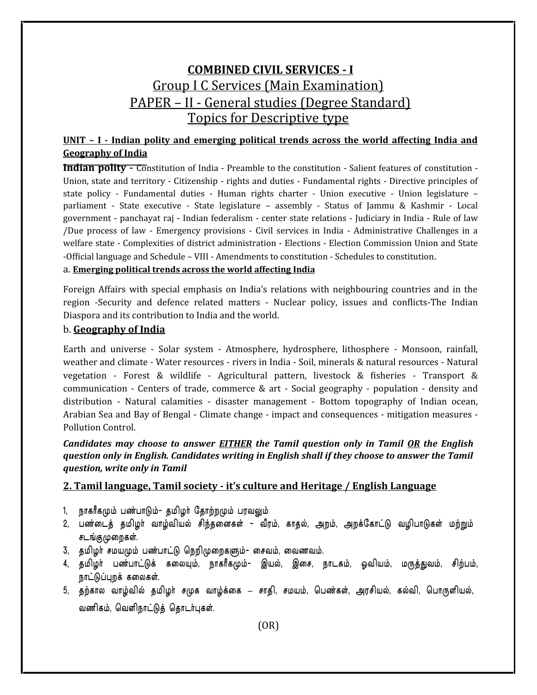# **COMBINED CIVIL SERVICES - I** Group I C Services (Main Examination) PAPER – II ‐General studies (Degree Standard) Topics for Descriptive type

## **UNIT – I ‐ Indian polity and emerging political trends across the world affecting India and Geography of India**

**Indian polity** • Constitution of India • Preamble to the constitution - Salient features of constitution -Union, state and territory ‐ Citizenship ‐ rights and duties ‐ Fundamental rights ‐ Directive principles of state policy ‐ Fundamental duties ‐ Human rights charter ‐ Union executive ‐ Union legislature – parliament ‐ State executive ‐ State legislature – assembly ‐ Status of Jammu & Kashmir ‐ Local government ‐ panchayat raj ‐ Indian federalism ‐ center state relations ‐Judiciary in India ‐ Rule of law /Due process of law ‐ Emergency provisions ‐Civil services in India ‐ Administrative Challenges in a welfare state - Complexities of district administration - Elections - Election Commission Union and State ‐Official language and Schedule – VIII ‐ Amendments to constitution ‐ Schedules to constitution.

#### a. **Emerging political trends across the world affecting India**

Foreign Affairs with special emphasis on India's relations with neighbouring countries and in the region ‐Security and defence related matters ‐ Nuclear policy, issues and conflicts‐The Indian Diaspora and its contribution to India and the world.

#### b. **Geography of India**

Earth and universe ‐ Solar system ‐ Atmosphere, hydrosphere, lithosphere ‐ Monsoon, rainfall, weather and climate ‐ Water resources ‐ rivers in India ‐ Soil, minerals & natural resources ‐ Natural vegetation ‐ Forest & wildlife ‐ Agricultural pattern, livestock & fisheries ‐ Transport & communication – Centers of trade, commerce  $\&$  art – Social geography – population – density and distribution ‐ Natural calamities ‐ disaster management ‐ Bottom topography of Indian ocean, Arabian Sea and Bay of Bengal ‐ Climate change ‐ impact and consequences ‐ mitigation measures ‐ Pollution Control.

#### *Candidates may choose to answer EITHER the Tamil question only in Tamil OR the English question only in English. Candidates writing in English shall if they choose to answer the Tamil question, write only in Tamil*

#### **2. Tamil language, Tamil society ‐ it's culture and Heritage / English Language**

- 1, நாகரீகமும் பண்பாடும்- தமிழர் தோற்றமும் பரவலும்
- 2, பண்டைத் தமிழர் வாழ்வியல் சிந்தனைகள் வீரம், காதல், அறம், அறக்கோட்டு வழிபாடுகள் மற்றும் சடங்குமுறைகள்.
- 3, தமிழர் சமயமும் பண்பாட்டு நெறிமுறைகளும்- சைவம், வைணவம்.
- 4, தமிழர் பண்பாட்டுக் கலையும், நாகரீகமும்- இயல், இசை, நாடகம், ஓவியம், மருத்துவம், சிற்பம், ் சடங்குமுறைகள்.<br>3, தமிழர் சமயமும் பண்பாட்டு நெறிமுறைகளும்- சைவம், வைணவம்.<br>4, தமிழர் பண்பாட்டுக் கலையும், நாகரீகமும்- இயல், இசை, நாடகம், ஓவியம், மருத்துவம், சிற்பம்,<br>நாட்டுப்புறக்கலைகள்.<br>5, தற்கால வாழ்வில் தமிழர் சமுக வாழ
- தமிழர் பண்பாட்டுக் கலையும், நாகரீகமும்– இய<br>நாட்டுப்புறக்கலைகள்.<br>தற்கால வாழ்வில் தமிழர் சமுக வாழ்க்கை சாதி<br>வணிகம், வெளிநாட்டுத் தொடர்புகள்.<br>(OR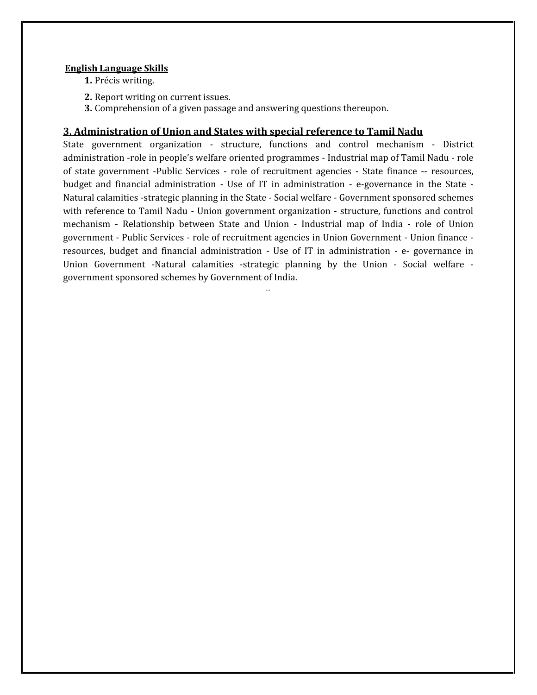#### **English Language Skills**

- **1.** Précis writing.
- **2.** Report writing on current issues.
- **3.** Comprehension of a given passage and answering questions thereupon.

#### **3. Administration of Union and States with special reference to Tamil Nadu**

State government organization ‐ structure, functions and control mechanism ‐ District administration ‐role in people's welfare oriented programmes ‐ Industrial map of Tamil Nadu ‐ role of state government ‐Public Services ‐ role of recruitment agencies ‐State finance ‐‐ resources, budget and financial administration ‐ Use of IT in administration ‐ e‐governance in the State ‐ Natural calamities ‐strategic planning in the State ‐ Social welfare ‐ Government sponsored schemes with reference to Tamil Nadu - Union government organization - structure, functions and control mechanism ‐ Relationship between State and Union ‐ Industrial map of India ‐ role of Union government ‐ Public Services ‐ role of recruitment agencies in Union Government ‐ Union finance ‐ resources, budget and financial administration ‐ Use of IT in administration ‐ e‐ governance in Union Government ‐Natural calamities ‐strategic planning by the Union ‐ Social welfare ‐ government sponsored schemes by Government of India.

…